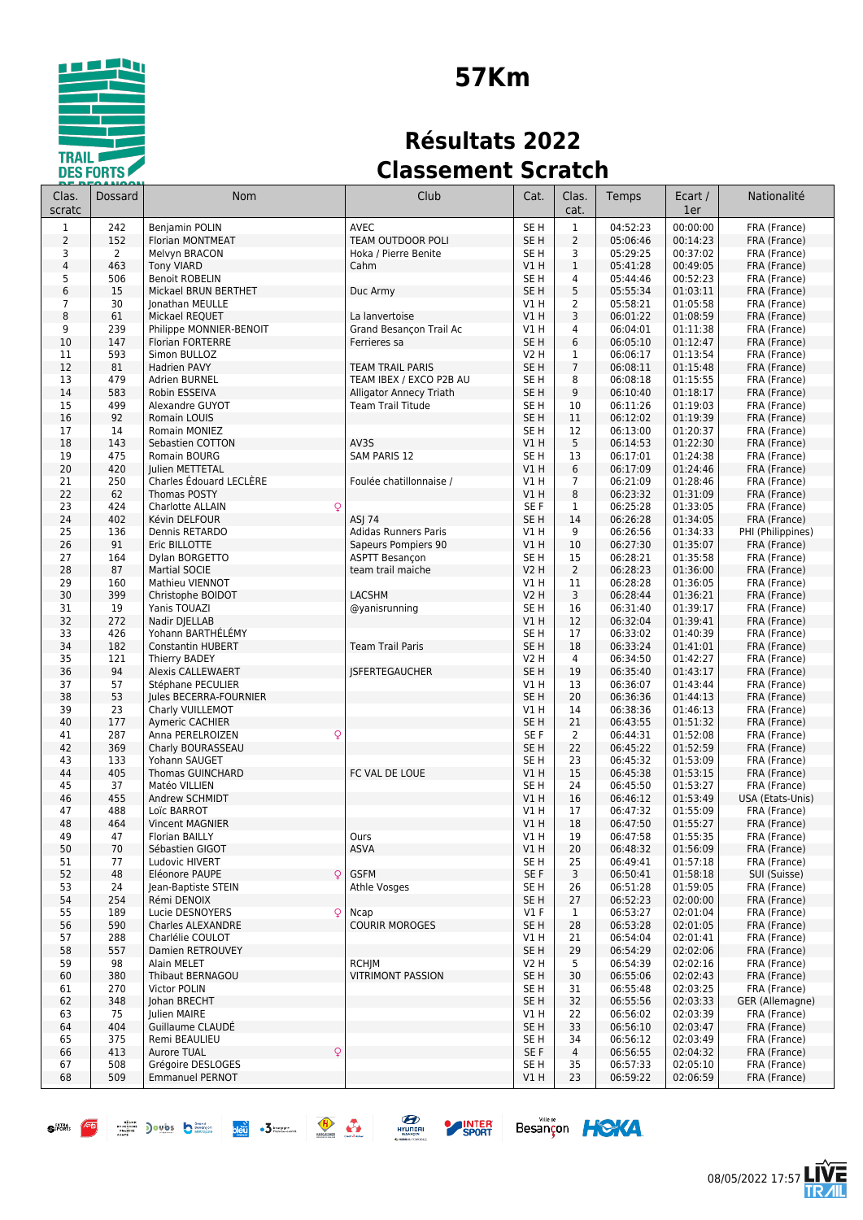

# **57Km**

## **Résultats 2022 Classement Scratch**

| Clas.<br>scratc     | Dossard   | <b>Nom</b>                                 | Club                                     | Cat.                    | Clas.<br>cat.        | Temps                | Ecart /<br>1er       | Nationalité                  |
|---------------------|-----------|--------------------------------------------|------------------------------------------|-------------------------|----------------------|----------------------|----------------------|------------------------------|
| $\mathbf{1}$        | 242       | <b>Beniamin POLIN</b>                      | <b>AVEC</b>                              | SE <sub>H</sub>         | $\mathbf{1}$         | 04:52:23             | 00:00:00             | FRA (France)                 |
| 2                   | 152       | Florian MONTMEAT                           | <b>TEAM OUTDOOR POLI</b>                 | SE H                    | $\overline{2}$       | 05:06:46             | 00:14:23             | FRA (France)                 |
| 3                   | 2         | Melvyn BRACON                              | Hoka / Pierre Benite                     | SE H                    | 3                    | 05:29:25             | 00:37:02             | FRA (France)                 |
| 4                   | 463       | <b>Tony VIARD</b>                          | Cahm                                     | VIH                     | $1\,$                | 05:41:28             | 00:49:05             | FRA (France)                 |
| 5                   | 506       | <b>Benoit ROBELIN</b>                      |                                          | SE H                    | $\overline{4}$       | 05:44:46             | 00:52:23             | FRA (France)                 |
| 6                   | 15        | Mickael BRUN BERTHET                       | Duc Army                                 | SE <sub>H</sub>         | 5                    | 05:55:34             | 01:03:11             | FRA (France)                 |
| $\overline{7}$<br>8 | 30<br>61  | Jonathan MEULLE<br>Mickael REQUET          | La lanvertoise                           | V1 H<br><b>V1 H</b>     | $\overline{2}$<br>3  | 05:58:21<br>06:01:22 | 01:05:58<br>01:08:59 | FRA (France)<br>FRA (France) |
| 9                   | 239       | Philippe MONNIER-BENOIT                    | Grand Besancon Trail Ac                  | V1 H                    | 4                    | 06:04:01             | 01:11:38             | FRA (France)                 |
| 10                  | 147       | <b>Florian FORTERRE</b>                    | Ferrieres sa                             | SE <sub>H</sub>         | 6                    | 06:05:10             | 01:12:47             | FRA (France)                 |
| 11                  | 593       | Simon BULLOZ                               |                                          | V2 H                    | 1                    | 06:06:17             | 01:13:54             | FRA (France)                 |
| 12                  | 81        | <b>Hadrien PAVY</b>                        | <b>TEAM TRAIL PARIS</b>                  | SE H                    | $\overline{7}$       | 06:08:11             | 01:15:48             | FRA (France)                 |
| 13                  | 479       | <b>Adrien BURNEL</b>                       | TEAM IBEX / EXCO P2B AU                  | SE H                    | 8                    | 06:08:18             | 01:15:55             | FRA (France)                 |
| 14                  | 583       | Robin ESSEIVA                              | <b>Alligator Annecy Triath</b>           | SE H                    | 9                    | 06:10:40             | 01:18:17             | FRA (France)                 |
| 15                  | 499       | Alexandre GUYOT                            | <b>Team Trail Titude</b>                 | SE H                    | 10                   | 06:11:26             | 01:19:03             | FRA (France)                 |
| 16                  | 92        | Romain LOUIS                               |                                          | SE H                    | 11                   | 06:12:02             | 01:19:39             | FRA (France)                 |
| 17<br>18            | 14<br>143 | Romain MONIEZ<br>Sebastien COTTON          | AV3S                                     | SE H<br><b>V1 H</b>     | 12<br>5              | 06:13:00<br>06:14:53 | 01:20:37<br>01:22:30 | FRA (France)<br>FRA (France) |
| 19                  | 475       | Romain BOURG                               | <b>SAM PARIS 12</b>                      | SE H                    | 13                   | 06:17:01             | 01:24:38             | FRA (France)                 |
| 20                  | 420       | Julien METTETAL                            |                                          | VIH                     | 6                    | 06:17:09             | 01:24:46             | FRA (France)                 |
| 21                  | 250       | Charles Édouard LECLÈRE                    | Foulée chatillonnaise /                  | V1 H                    | 7                    | 06:21:09             | 01:28:46             | FRA (France)                 |
| 22                  | 62        | <b>Thomas POSTY</b>                        |                                          | V1H                     | 8                    | 06:23:32             | 01:31:09             | FRA (France)                 |
| 23                  | 424       | Charlotte ALLAIN<br>Q                      |                                          | SE <sub>F</sub>         | 1                    | 06:25:28             | 01:33:05             | FRA (France)                 |
| 24                  | 402       | Kévin DELFOUR                              | ASJ 74                                   | SE <sub>H</sub>         | 14                   | 06:26:28             | 01:34:05             | FRA (France)                 |
| 25                  | 136       | Dennis RETARDO                             | Adidas Runners Paris                     | V1 H                    | 9                    | 06:26:56             | 01:34:33             | PHI (Philippines)            |
| 26                  | 91        | Eric BILLOTTE                              | Sapeurs Pompiers 90                      | VIH                     | 10                   | 06:27:30             | 01:35:07             | FRA (France)                 |
| 27                  | 164       | Dylan BORGETTO                             | <b>ASPTT Besançon</b>                    | SE H                    | 15                   | 06:28:21             | 01:35:58             | FRA (France)                 |
| 28<br>29            | 87<br>160 | <b>Martial SOCIE</b><br>Mathieu VIENNOT    | team trail maiche                        | <b>V2 H</b><br>V1 H     | $\overline{2}$<br>11 | 06:28:23<br>06:28:28 | 01:36:00<br>01:36:05 | FRA (France)<br>FRA (France) |
| 30                  | 399       | Christophe BOIDOT                          | <b>LACSHM</b>                            | <b>V2 H</b>             | 3                    | 06:28:44             | 01:36:21             | FRA (France)                 |
| 31                  | 19        | Yanis TOUAZI                               | @yanisrunning                            | SE <sub>H</sub>         | 16                   | 06:31:40             | 01:39:17             | FRA (France)                 |
| 32                  | 272       | Nadir DJELLAB                              |                                          | <b>V1 H</b>             | 12                   | 06:32:04             | 01:39:41             | FRA (France)                 |
| 33                  | 426       | Yohann BARTHÉLÉMY                          |                                          | SE H                    | 17                   | 06:33:02             | 01:40:39             | FRA (France)                 |
| 34                  | 182       | <b>Constantin HUBERT</b>                   | <b>Team Trail Paris</b>                  | SE <sub>H</sub>         | 18                   | 06:33:24             | 01:41:01             | FRA (France)                 |
| 35                  | 121       | Thierry BADEY                              |                                          | V2 H                    | 4                    | 06:34:50             | 01:42:27             | FRA (France)                 |
| 36                  | 94        | <b>Alexis CALLEWAERT</b>                   | <b>JSFERTEGAUCHER</b>                    | SE <sub>H</sub>         | 19                   | 06:35:40             | 01:43:17             | FRA (France)                 |
| 37                  | 57        | Stéphane PECULIER                          |                                          | V1 H                    | 13                   | 06:36:07             | 01:43:44             | FRA (France)                 |
| 38                  | 53        | Jules BECERRA-FOURNIER                     |                                          | SE <sub>H</sub>         | 20                   | 06:36:36             | 01:44:13             | FRA (France)                 |
| 39<br>40            | 23<br>177 | Charly VUILLEMOT<br><b>Aymeric CACHIER</b> |                                          | V1 H<br>SE <sub>H</sub> | 14<br>21             | 06:38:36<br>06:43:55 | 01:46:13<br>01:51:32 | FRA (France)<br>FRA (France) |
| 41                  | 287       | $\mathsf{Q}$<br>Anna PERELROIZEN           |                                          | SE F                    | 2                    | 06:44:31             | 01:52:08             | FRA (France)                 |
| 42                  | 369       | Charly BOURASSEAU                          |                                          | SE <sub>H</sub>         | 22                   | 06:45:22             | 01:52:59             | FRA (France)                 |
| 43                  | 133       | Yohann SAUGET                              |                                          | SE H                    | 23                   | 06:45:32             | 01:53:09             | FRA (France)                 |
| 44                  | 405       | <b>Thomas GUINCHARD</b>                    | FC VAL DE LOUE                           | <b>V1 H</b>             | 15                   | 06:45:38             | 01:53:15             | FRA (France)                 |
| 45                  | 37        | Matéo VILLIEN                              |                                          | SE H                    | 24                   | 06:45:50             | 01:53:27             | FRA (France)                 |
| 46                  | 455       | Andrew SCHMIDT                             |                                          | V1H                     | 16                   | 06:46:12             | 01:53:49             | USA (Etats-Unis)             |
| 47                  | 488       | Loïc BARROT                                |                                          | V1 H                    | 17                   | 06:47:32             | 01:55:09             | FRA (France)                 |
| 48<br>49            | 464<br>47 | <b>Vincent MAGNIER</b><br>Florian BAILLY   | Ours                                     | V1H<br>VIH              | 18<br>19             | 06:47:50<br>06:47:58 | 01:55:27<br>01:55:35 | FRA (France)<br>FRA (France) |
| 50                  | 70        | Sébastien GIGOT                            | <b>ASVA</b>                              | V1H                     | 20                   | 06:48:32             | 01:56:09             | FRA (France)                 |
| 51                  | 77        | Ludovic HIVERT                             |                                          | SE H                    | 25                   | 06:49:41             | 01:57:18             | FRA (France)                 |
| 52                  | 48        | Eléonore PAUPE<br>Q                        | <b>GSFM</b>                              | SE F                    | 3                    | 06:50:41             | 01:58:18             | SUI (Suisse)                 |
| 53                  | 24        | Jean-Baptiste STEIN                        | Athle Vosges                             | SE H                    | 26                   | 06:51:28             | 01:59:05             | FRA (France)                 |
| 54                  | 254       | Rémi DENOIX                                |                                          | SE H                    | 27                   | 06:52:23             | 02:00:00             | FRA (France)                 |
| 55                  | 189       | Lucie DESNOYERS<br>$\mathsf{Q}$            | Ncap                                     | $VI$ F                  | $\mathbf{1}$         | 06:53:27             | 02:01:04             | FRA (France)                 |
| 56                  | 590       | Charles ALEXANDRE                          | <b>COURIR MOROGES</b>                    | SE <sub>H</sub>         | 28                   | 06:53:28             | 02:01:05             | FRA (France)                 |
| 57                  | 288       | Charlélie COULOT                           |                                          | V1 H                    | 21                   | 06:54:04             | 02:01:41             | FRA (France)                 |
| 58                  | 557       | Damien RETROUVEY                           |                                          | SE H                    | 29                   | 06:54:29<br>06:54:39 | 02:02:06             | FRA (France)<br>FRA (France) |
| 59<br>60            | 98<br>380 | Alain MELET<br>Thibaut BERNAGOU            | <b>RCHJM</b><br><b>VITRIMONT PASSION</b> | V2 H<br>SE <sub>H</sub> | 5<br>30              | 06:55:06             | 02:02:16<br>02:02:43 | FRA (France)                 |
| 61                  | 270       | Victor POLIN                               |                                          | SE H                    | 31                   | 06:55:48             | 02:03:25             | FRA (France)                 |
| 62                  | 348       | Johan BRECHT                               |                                          | SE H                    | 32                   | 06:55:56             | 02:03:33             | GER (Allemagne)              |
| 63                  | 75        | Julien MAIRE                               |                                          | V1 H                    | 22                   | 06:56:02             | 02:03:39             | FRA (France)                 |
| 64                  | 404       | Guillaume CLAUDE                           |                                          | SE H                    | 33                   | 06:56:10             | 02:03:47             | FRA (France)                 |
| 65                  | 375       | Remi BEAULIEU                              |                                          | SE H                    | 34                   | 06:56:12             | 02:03:49             | FRA (France)                 |
| 66                  | 413       | Aurore TUAL<br>$\mathsf{Q}$                |                                          | SE F                    | 4                    | 06:56:55             | 02:04:32             | FRA (France)                 |
| 67                  | 508       | Grégoire DESLOGES                          |                                          | SE H                    | 35                   | 06:57:33             | 02:05:10             | FRA (France)                 |
| 68                  | 509       | <b>Emmanuel PERNOT</b>                     |                                          | V1H                     | 23                   | 06:59:22             | 02:06:59             | FRA (France)                 |





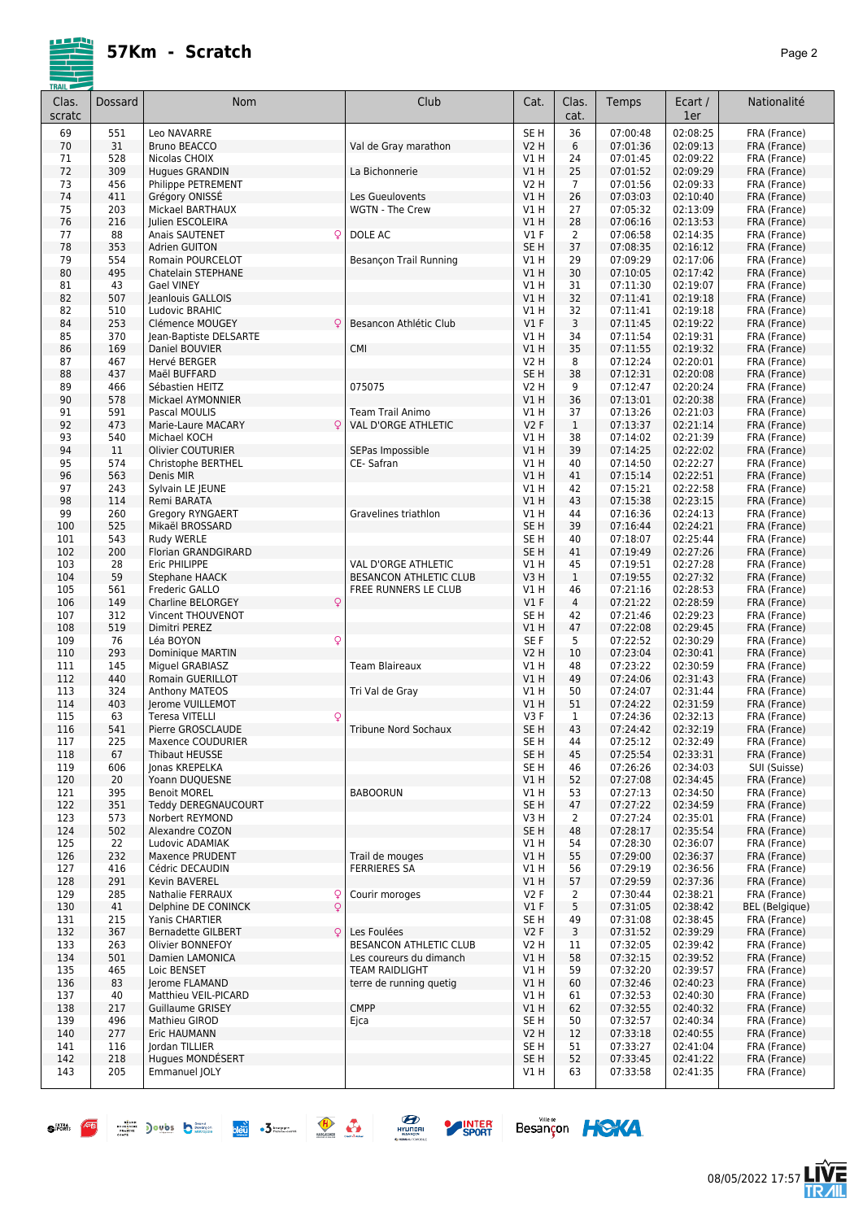

| <b>TRAIL</b>    |         |                                     |                            |                 |                |          |                |                       |
|-----------------|---------|-------------------------------------|----------------------------|-----------------|----------------|----------|----------------|-----------------------|
| Clas.<br>scratc | Dossard | <b>Nom</b>                          | Club                       | Cat.            | Clas.<br>cat.  | Temps    | Ecart /<br>1er | Nationalité           |
| 69              | 551     | Leo NAVARRE                         |                            | SE <sub>H</sub> | 36             | 07:00:48 | 02:08:25       | FRA (France)          |
| 70              | 31      | Bruno BEACCO                        | Val de Gray marathon       | V2 H            | 6              | 07:01:36 | 02:09:13       | FRA (France)          |
| 71              | 528     | Nicolas CHOIX                       |                            | V1 H            | 24             | 07:01:45 | 02:09:22       | FRA (France)          |
| 72              | 309     | Hugues GRANDIN                      | La Bichonnerie             | V1 H            | 25             | 07:01:52 | 02:09:29       | FRA (France)          |
| 73              | 456     | Philippe PETREMENT                  |                            | V2 H            | $\overline{7}$ | 07:01:56 | 02:09:33       | FRA (France)          |
| 74              |         |                                     |                            |                 |                |          |                |                       |
|                 | 411     | Grégory ONISSE                      | Les Gueulovents            | V1 H            | 26             | 07:03:03 | 02:10:40       | FRA (France)          |
| 75              | 203     | Mickael BARTHAUX                    | WGTN - The Crew            | V1 H            | 27             | 07:05:32 | 02:13:09       | FRA (France)          |
| 76              | 216     | Julien ESCOLEIRA                    |                            | V1 H            | 28             | 07:06:16 | 02:13:53       | FRA (France)          |
| 77              | 88      | <b>Anais SAUTENET</b><br>Q          | DOLE AC                    | V1F             | 2              | 07:06:58 | 02:14:35       | FRA (France)          |
| 78              | 353     | <b>Adrien GUITON</b>                |                            | SE <sub>H</sub> | 37             | 07:08:35 | 02:16:12       | FRA (France)          |
| 79              | 554     | Romain POURCELOT                    | Besançon Trail Running     | V1 H            | 29             | 07:09:29 | 02:17:06       | FRA (France)          |
| 80              | 495     | Chatelain STEPHANE                  |                            | V1 H            | 30             | 07:10:05 | 02:17:42       | FRA (France)          |
| 81              | 43      | Gael VINEY                          |                            | V1 H            | 31             | 07:11:30 | 02:19:07       | FRA (France)          |
| 82              | 507     | Jeanlouis GALLOIS                   |                            | V1 H            | 32             | 07:11:41 | 02:19:18       | FRA (France)          |
| 82              | 510     | Ludovic BRAHIC                      |                            | V1 H            | 32             | 07:11:41 | 02:19:18       | FRA (France)          |
| 84              | 253     | Clémence MOUGEY<br>Q                | Besancon Athlétic Club     | V1F             | 3              | 07:11:45 | 02:19:22       | FRA (France)          |
| 85              | 370     | Jean-Baptiste DELSARTE              |                            | V1 H            | 34             | 07:11:54 | 02:19:31       | FRA (France)          |
| 86              | 169     | Daniel BOUVIER                      | <b>CMI</b>                 | V1 H            | 35             | 07:11:55 | 02:19:32       | FRA (France)          |
| 87              | 467     | Hervé BERGER                        |                            | V2 H            | 8              | 07:12:24 | 02:20:01       | FRA (France)          |
| 88              | 437     | Maël BUFFARD                        |                            | SE <sub>H</sub> | 38             | 07:12:31 | 02:20:08       | FRA (France)          |
| 89              | 466     | Sébastien HEITZ                     | 075075                     | V2 H            | 9              | 07:12:47 | 02:20:24       | FRA (France)          |
| 90              | 578     | Mickael AYMONNIER                   |                            | V1H             | 36             | 07:13:01 | 02:20:38       | FRA (France)          |
| 91              | 591     | Pascal MOULIS                       | Team Trail Animo           | V1 H            | 37             | 07:13:26 | 02:21:03       | FRA (France)          |
| 92              | 473     | Marie-Laure MACARY<br>Q.            | <b>VAL D'ORGE ATHLETIC</b> | <b>V2F</b>      | $\mathbf{1}$   | 07:13:37 | 02:21:14       | FRA (France)          |
| 93              | 540     | Michael KOCH                        |                            | V1 H            | 38             | 07:14:02 | 02:21:39       | FRA (France)          |
| 94              | 11      | <b>Olivier COUTURIER</b>            | SEPas Impossible           | V1H             | 39             | 07:14:25 | 02:22:02       | FRA (France)          |
| 95              | 574     | Christophe BERTHEL                  | CE-Safran                  | V1 H            | 40             | 07:14:50 | 02:22:27       | FRA (France)          |
| 96              | 563     | Denis MIR                           |                            | V1 H            | 41             | 07:15:14 | 02:22:51       | FRA (France)          |
| 97              | 243     | Sylvain LE JEUNE                    |                            | V1 H            | 42             | 07:15:21 | 02:22:58       | FRA (France)          |
| 98              | 114     | Remi BARATA                         |                            | V1 H            | 43             | 07:15:38 | 02:23:15       | FRA (France)          |
| 99              | 260     | <b>Gregory RYNGAERT</b>             | Gravelines triathlon       | V1 H            | 44             | 07:16:36 | 02:24:13       | FRA (France)          |
| 100             | 525     | Mikaël BROSSARD                     |                            | SE <sub>H</sub> | 39             | 07:16:44 | 02:24:21       | FRA (France)          |
| 101             | 543     | Rudy WERLE                          |                            | SE <sub>H</sub> | 40             | 07:18:07 | 02:25:44       | FRA (France)          |
| 102             | 200     | Florian GRANDGIRARD                 |                            | SE <sub>H</sub> | 41             | 07:19:49 | 02:27:26       | FRA (France)          |
| 103             | 28      | Eric PHILIPPE                       | VAL D'ORGE ATHLETIC        | V1 H            | 45             | 07:19:51 | 02:27:28       | FRA (France)          |
| 104             | 59      | Stephane HAACK                      | BESANCON ATHLETIC CLUB     | V3H             | $\mathbf{1}$   | 07:19:55 | 02:27:32       | FRA (France)          |
| 105             | 561     | Frederic GALLO                      | FREE RUNNERS LE CLUB       | V1 H            | 46             | 07:21:16 | 02:28:53       | FRA (France)          |
| 106             | 149     | <b>Charline BELORGEY</b><br>Q       |                            | V1F             | $\overline{4}$ | 07:21:22 | 02:28:59       | FRA (France)          |
| 107             | 312     | Vincent THOUVENOT                   |                            | SE <sub>H</sub> | 42             | 07:21:46 | 02:29:23       | FRA (France)          |
| 108             | 519     | Dimitri PEREZ                       |                            | V1 H            | 47             | 07:22:08 | 02:29:45       | FRA (France)          |
| 109             | 76      | Léa BOYON<br>Q                      |                            | SE F            | 5              | 07:22:52 | 02:30:29       | FRA (France)          |
| 110             | 293     | Dominique MARTIN                    |                            | V2 H            | 10             | 07:23:04 | 02:30:41       | FRA (France)          |
| 111             | 145     | Miguel GRABIASZ                     | <b>Team Blaireaux</b>      | V1 H            | 48             | 07:23:22 | 02:30:59       | FRA (France)          |
| 112             | 440     | Romain GUERILLOT                    |                            | V1 H            | 49             | 07:24:06 | 02:31:43       | FRA (France)          |
| 113             | 324     | Anthony MATEOS                      | Tri Val de Gray            | V1 H            | 50             | 07:24:07 | 02:31:44       | FRA (France)          |
| 114             | 403     | Jerome VUILLEMOT                    |                            | V1 H            | 51             | 07:24:22 | 02:31:59       | FRA (France)          |
| 115             | 63      | Q<br><b>Teresa VITELLI</b>          |                            | V3F             | 1              | 07:24:36 | 02:32:13       | FRA (France)          |
| 116             | 541     | Pierre GROSCLAUDE                   | Tribune Nord Sochaux       | SE <sub>H</sub> | 43             | 07:24:42 | 02:32:19       | FRA (France)          |
| 117             | 225     | Maxence COUDURIER                   |                            | SE H            | 44             | 07:25:12 | 02:32:49       | FRA (France)          |
| 118             | 67      | <b>Thibaut HEUSSE</b>               |                            | SE H            | 45             | 07:25:54 | 02:33:31       | FRA (France)          |
| 119             | 606     | Jonas KREPELKA                      |                            | SE H            | 46             | 07:26:26 | 02:34:03       | SUI (Suisse)          |
| 120             | 20      | Yoann DUQUESNE                      |                            | V1 H            | 52             | 07:27:08 | 02:34:45       | FRA (France)          |
| 121             | 395     | <b>Benoit MOREL</b>                 | <b>BABOORUN</b>            | V1 H            | 53             | 07:27:13 | 02:34:50       | FRA (France)          |
| 122             | 351     | Teddy DEREGNAUCOURT                 |                            | SE H            | 47             | 07:27:22 | 02:34:59       | FRA (France)          |
| 123             | 573     | Norbert REYMOND                     |                            | V3 H            | 2              | 07:27:24 | 02:35:01       | FRA (France)          |
| 124             | 502     | Alexandre COZON                     |                            | SE H            | 48             | 07:28:17 | 02:35:54       | FRA (France)          |
| 125             | 22      | Ludovic ADAMIAK                     |                            | V1 H            | 54             | 07:28:30 | 02:36:07       | FRA (France)          |
| 126             | 232     | Maxence PRUDENT                     | Trail de mouges            | V1 H            | 55             | 07:29:00 | 02:36:37       | FRA (France)          |
| 127             | 416     | Cédric DECAUDIN                     | <b>FERRIERES SA</b>        | V1 H            | 56             | 07:29:19 | 02:36:56       | FRA (France)          |
| 128             | 291     | Kevin BAVEREL                       |                            | V1 H            | 57             | 07:29:59 | 02:37:36       | FRA (France)          |
| 129             | 285     | Nathalie FERRAUX<br>Q               | Courir moroges             | V2F             | 2              | 07:30:44 | 02:38:21       | FRA (France)          |
| 130             | 41      | $\mathsf{Q}$<br>Delphine DE CONINCK |                            | V1F             | 5              | 07:31:05 | 02:38:42       | <b>BEL</b> (Belgique) |
| 131             | 215     | Yanis CHARTIER                      |                            | SE H            | 49             | 07:31:08 | 02:38:45       | FRA (France)          |
| 132             | 367     | <b>Bernadette GILBERT</b><br>Q.     | Les Foulées                | V2F             | 3              | 07:31:52 | 02:39:29       | FRA (France)          |
| 133             | 263     | Olivier BONNEFOY                    | BESANCON ATHLETIC CLUB     | V2 H            | 11             | 07:32:05 | 02:39:42       | FRA (France)          |
| 134             | 501     | Damien LAMONICA                     | Les coureurs du dimanch    | V1 H            | 58             | 07:32:15 | 02:39:52       | FRA (France)          |
| 135             | 465     | Loic BENSET                         | <b>TEAM RAIDLIGHT</b>      | V1 H            | 59             | 07:32:20 | 02:39:57       | FRA (France)          |
| 136             | 83      | Jerome FLAMAND                      | terre de running quetig    | V1 H            | 60             | 07:32:46 | 02:40:23       | FRA (France)          |
| 137             | 40      | Matthieu VEIL-PICARD                |                            | V1 H            | 61             | 07:32:53 | 02:40:30       | FRA (France)          |
| 138             | 217     | <b>Guillaume GRISEY</b>             | <b>CMPP</b>                | V1 H            | 62             | 07:32:55 | 02:40:32       | FRA (France)          |
| 139             | 496     | Mathieu GIROD                       | Ejca                       | SE H            | 50             | 07:32:57 | 02:40:34       | FRA (France)          |
| 140             | 277     | Eric HAUMANN                        |                            | V2 H            | 12             | 07:33:18 | 02:40:55       | FRA (France)          |
| 141             | 116     | Jordan TILLIER                      |                            | SE H            | 51             | 07:33:27 | 02:41:04       | FRA (France)          |
| 142             | 218     | Hugues MONDESERT                    |                            | SE <sub>H</sub> | 52             | 07:33:45 | 02:41:22       | FRA (France)          |
| 143             | 205     | Emmanuel JOLY                       |                            | V1 H            | 63             | 07:33:58 | 02:41:35       | FRA (France)          |
|                 |         |                                     |                            |                 |                |          |                |                       |
|                 |         |                                     |                            |                 |                |          |                |                       |







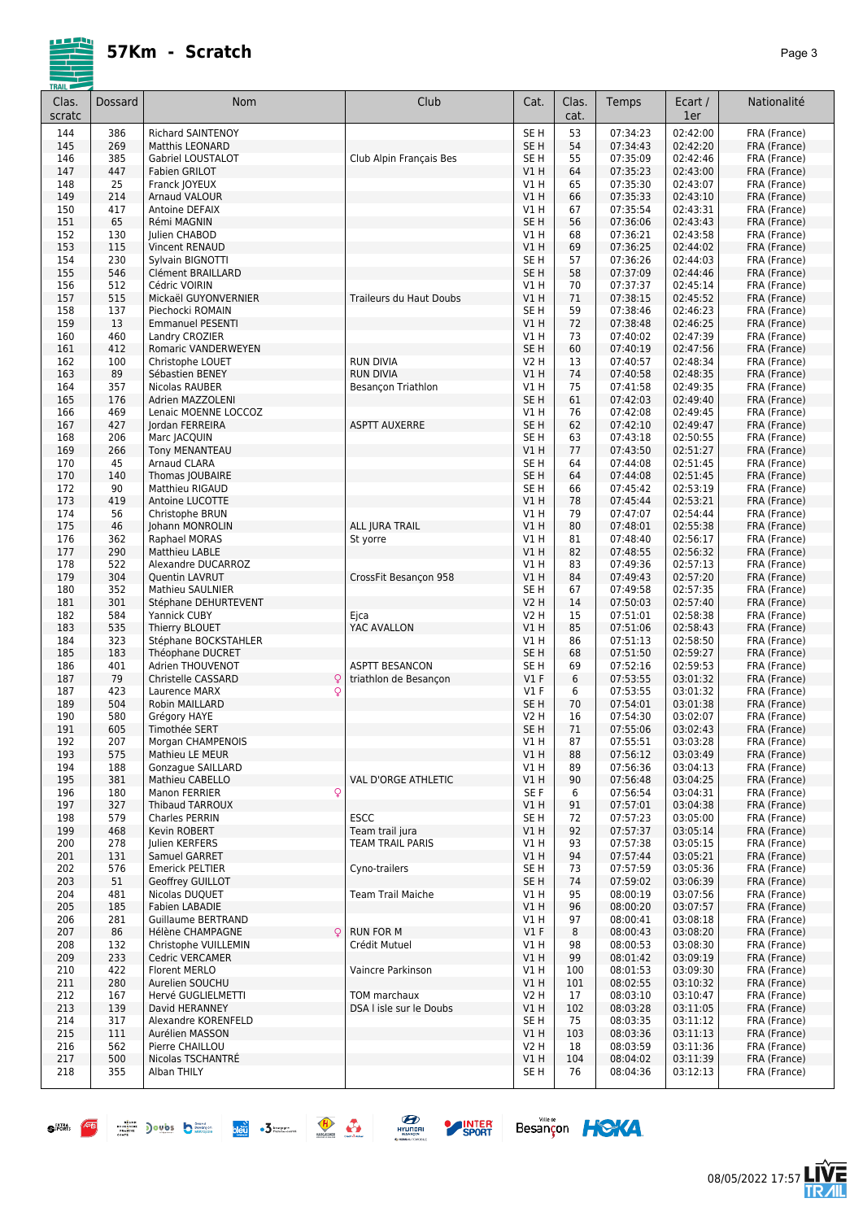| TRAIL F<br>Clas.<br>scratc | Dossard    | Nom                                                     | Club                       | Cat.                               | Clas.<br>cat. | Temps                | Ecart /<br>1er       | Nationalité                  |
|----------------------------|------------|---------------------------------------------------------|----------------------------|------------------------------------|---------------|----------------------|----------------------|------------------------------|
| 144                        | 386        | <b>Richard SAINTENOY</b>                                |                            | SE <sub>H</sub>                    | 53            | 07:34:23             | 02:42:00             | FRA (France)                 |
| 145                        | 269        | Matthis LEONARD                                         |                            | SE <sub>H</sub>                    | 54            | 07:34:43             | 02:42:20             | FRA (France)                 |
| 146                        | 385        | Gabriel LOUSTALOT                                       | Club Alpin Français Bes    | SE <sub>H</sub>                    | 55            | 07:35:09             | 02:42:46             | FRA (France)                 |
| 147                        | 447        | Fabien GRILOT                                           |                            | VIH                                | 64            | 07:35:23             | 02:43:00             | FRA (France)                 |
| 148<br>149                 | 25<br>214  | Franck JOYEUX<br><b>Arnaud VALOUR</b>                   |                            | V1H<br>V1 H                        | 65<br>66      | 07:35:30<br>07:35:33 | 02:43:07<br>02:43:10 | FRA (France)<br>FRA (France) |
| 150                        | 417        | Antoine DEFAIX                                          |                            | V1 H                               | 67            | 07:35:54             | 02:43:31             | FRA (France)                 |
| 151                        | 65         | Rémi MAGNIN                                             |                            | SE <sub>H</sub>                    | 56            | 07:36:06             | 02:43:43             | FRA (France)                 |
| 152                        | 130        | Julien CHABOD                                           |                            | V1 H                               | 68            | 07:36:21             | 02:43:58             | FRA (France)                 |
| 153                        | 115        | Vincent RENAUD                                          |                            | V1 H                               | 69            | 07:36:25             | 02:44:02             | FRA (France)                 |
| 154<br>155                 | 230<br>546 | Sylvain BIGNOTTI<br>Clément BRAILLARD                   |                            | SE <sub>H</sub><br>SE <sub>H</sub> | 57<br>58      | 07:36:26<br>07:37:09 | 02:44:03<br>02:44:46 | FRA (France)                 |
| 156                        | 512        | Cédric VOIRIN                                           |                            | V1H                                | 70            | 07:37:37             | 02:45:14             | FRA (France)<br>FRA (France) |
| 157                        | 515        | Mickaël GUYONVERNIER                                    | Traileurs du Haut Doubs    | V1 H                               | 71            | 07:38:15             | 02:45:52             | FRA (France)                 |
| 158                        | 137        | Piechocki ROMAIN                                        |                            | SE <sub>H</sub>                    | 59            | 07:38:46             | 02:46:23             | FRA (France)                 |
| 159                        | 13         | <b>Emmanuel PESENTI</b>                                 |                            | V1H                                | 72            | 07:38:48             | 02:46:25             | FRA (France)                 |
| 160                        | 460        | Landry CROZIER                                          |                            | V1 H                               | 73            | 07:40:02             | 02:47:39             | FRA (France)                 |
| 161<br>162                 | 412<br>100 | Romaric VANDERWEYEN<br>Christophe LOUET                 | <b>RUN DIVIA</b>           | SE <sub>H</sub><br><b>V2 H</b>     | 60<br>13      | 07:40:19<br>07:40:57 | 02:47:56<br>02:48:34 | FRA (France)                 |
| 163                        | 89         | Sébastien BENEY                                         | <b>RUN DIVIA</b>           | VIH                                | 74            | 07:40:58             | 02:48:35             | FRA (France)<br>FRA (France) |
| 164                        | 357        | Nicolas RAUBER                                          | Besançon Triathlon         | V1 H                               | 75            | 07:41:58             | 02:49:35             | FRA (France)                 |
| 165                        | 176        | Adrien MAZZOLENI                                        |                            | SE <sub>H</sub>                    | 61            | 07:42:03             | 02:49:40             | FRA (France)                 |
| 166                        | 469        | Lenaic MOENNE LOCCOZ                                    |                            | V1H                                | 76            | 07:42:08             | 02:49:45             | FRA (France)                 |
| 167                        | 427        | Jordan FERREIRA                                         | <b>ASPTT AUXERRE</b>       | SE <sub>H</sub>                    | 62            | 07:42:10             | 02:49:47             | FRA (France)                 |
| 168<br>169                 | 206<br>266 | Marc JACQUIN<br><b>Tony MENANTEAU</b>                   |                            | SE <sub>H</sub><br>V1H             | 63<br>77      | 07:43:18<br>07:43:50 | 02:50:55<br>02:51:27 | FRA (France)<br>FRA (France) |
| 170                        | 45         | <b>Arnaud CLARA</b>                                     |                            | SE <sub>H</sub>                    | 64            | 07:44:08             | 02:51:45             | FRA (France)                 |
| 170                        | 140        | Thomas JOUBAIRE                                         |                            | SE <sub>H</sub>                    | 64            | 07:44:08             | 02:51:45             | FRA (France)                 |
| 172                        | 90         | Matthieu RIGAUD                                         |                            | SE <sub>H</sub>                    | 66            | 07:45:42             | 02:53:19             | FRA (France)                 |
| 173                        | 419        | Antoine LUCOTTE                                         |                            | V1H                                | 78            | 07:45:44             | 02:53:21             | FRA (France)                 |
| 174                        | 56         | Christophe BRUN                                         |                            | V1 H                               | 79            | 07:47:07             | 02:54:44             | FRA (France)                 |
| 175<br>176                 | 46<br>362  | Johann MONROLIN<br>Raphael MORAS                        | ALL JURA TRAIL<br>St yorre | V1 H<br>V1 H                       | 80<br>81      | 07:48:01<br>07:48:40 | 02:55:38<br>02:56:17 | FRA (France)<br>FRA (France) |
| 177                        | 290        | Matthieu LABLE                                          |                            | V1 H                               | 82            | 07:48:55             | 02:56:32             | FRA (France)                 |
| 178                        | 522        | Alexandre DUCARROZ                                      |                            | V1 H                               | 83            | 07:49:36             | 02:57:13             | FRA (France)                 |
| 179                        | 304        | Quentin LAVRUT                                          | CrossFit Besançon 958      | V1H                                | 84            | 07:49:43             | 02:57:20             | FRA (France)                 |
| 180                        | 352        | Mathieu SAULNIER                                        |                            | SE <sub>H</sub>                    | 67            | 07:49:58             | 02:57:35             | FRA (France)                 |
| 181                        | 301        | Stéphane DEHURTEVENT                                    |                            | <b>V2 H</b>                        | 14            | 07:50:03             | 02:57:40             | FRA (France)                 |
| 182<br>183                 | 584<br>535 | Yannick CUBY<br>Thierry BLOUET                          | Ejca<br>YAC AVALLON        | V2 H<br>V1H                        | 15<br>85      | 07:51:01<br>07:51:06 | 02:58:38<br>02:58:43 | FRA (France)<br>FRA (France) |
| 184                        | 323        | Stéphane BOCKSTAHLER                                    |                            | V1 H                               | 86            | 07:51:13             | 02:58:50             | FRA (France)                 |
| 185                        | 183        | Théophane DUCRET                                        |                            | SE <sub>H</sub>                    | 68            | 07:51:50             | 02:59:27             | FRA (France)                 |
| 186                        | 401        | Adrien THOUVENOT                                        | <b>ASPTT BESANCON</b>      | SE H                               | 69            | 07:52:16             | 02:59:53             | FRA (France)                 |
| 187                        | 79         | Christelle CASSARD<br>Q                                 | triathlon de Besançon      | $VI$ F                             | 6             | 07:53:55             | 03:01:32             | FRA (France)                 |
| 187                        | 423        | Q<br>Laurence MARX                                      |                            | V1 F                               | 6             | 07:53:55             | 03:01:32             | FRA (France)                 |
| 189<br>190                 | 504<br>580 | Robin MAILLARD<br>Grégory HAYE                          |                            | SE <sub>H</sub><br>V2 H            | 70<br>16      | 07:54:01<br>07:54:30 | 03:01:38<br>03:02:07 | FRA (France)<br>FRA (France) |
| 191                        | 605        | Timothée SERT                                           |                            | SE <sub>H</sub>                    | 71            | 07:55:06             | 03:02:43             | FRA (France)                 |
| 192                        | 207        | Morgan CHAMPENOIS                                       |                            | V1 H                               | 87            | 07:55:51             | 03:03:28             | FRA (France)                 |
| 193                        | 575        | Mathieu LE MEUR                                         |                            | V1H                                | 88            | 07:56:12             | 03:03:49             | FRA (France)                 |
| 194                        | 188        | Gonzague SAILLARD                                       |                            | V1 H                               | 89            | 07:56:36             | 03:04:13             | FRA (France)                 |
| 195                        | 381        | Mathieu CABELLO                                         | VAL D'ORGE ATHLETIC        | V1 H                               | 90            | 07:56:48             | 03:04:25             | FRA (France)                 |
| 196                        | 180        | $\mathsf{Q}$<br>Manon FERRIER<br><b>Thibaud TARROUX</b> |                            | SE F                               | 6             | 07:56:54             | 03:04:31             | FRA (France)                 |
| 197<br>198                 | 327<br>579 | Charles PERRIN                                          | <b>ESCC</b>                | V1H<br>SE H                        | 91<br>72      | 07:57:01<br>07:57:23 | 03:04:38<br>03:05:00 | FRA (France)<br>FRA (France) |
| 199                        | 468        | Kevin ROBERT                                            | Team trail jura            | V1 H                               | 92            | 07:57:37             | 03:05:14             | FRA (France)                 |
| 200                        | 278        | Julien KERFERS                                          | TEAM TRAIL PARIS           | VIH                                | 93            | 07:57:38             | 03:05:15             | FRA (France)                 |
| 201                        | 131        | Samuel GARRET                                           |                            | V1 H                               | 94            | 07:57:44             | 03:05:21             | FRA (France)                 |
| 202                        | 576        | <b>Emerick PELTIER</b>                                  | Cyno-trailers              | SE H                               | 73            | 07:57:59             | 03:05:36             | FRA (France)                 |
| 203                        | 51         | Geoffrey GUILLOT                                        |                            | SE <sub>H</sub>                    | 74            | 07:59:02             | 03:06:39             | FRA (France)                 |
| 204<br>205                 | 481<br>185 | Nicolas DUQUET<br>Fabien LABADIE                        | <b>Team Trail Maiche</b>   | V1 H<br>V1H                        | 95<br>96      | 08:00:19<br>08:00:20 | 03:07:56<br>03:07:57 | FRA (France)<br>FRA (France) |
| 206                        | 281        | Guillaume BERTRAND                                      |                            | V1 H                               | 97            | 08:00:41             | 03:08:18             | FRA (France)                 |
| 207                        | 86         | Hélène CHAMPAGNE                                        | <b>RUN FOR M</b>           | $VI$ F                             | 8             | 08:00:43             | 03:08:20             | FRA (France)                 |
| 208                        | 132        | Christophe VUILLEMIN                                    | Crédit Mutuel              | V1 H                               | 98            | 08:00:53             | 03:08:30             | FRA (France)                 |
| 209                        | 233        | Cedric VERCAMER                                         |                            | V1H                                | 99            | 08:01:42             | 03:09:19             | FRA (France)                 |
| 210                        | 422        | Florent MERLO                                           | Vaincre Parkinson          | V1 H                               | 100           | 08:01:53             | 03:09:30             | FRA (France)                 |
| 211                        | 280        | Aurelien SOUCHU                                         | TOM marchaux               | VIH                                | 101           | 08:02:55             | 03:10:32             | FRA (France)                 |
| 212<br>213                 | 167<br>139 | Hervé GUGLIELMETTI<br>David HERANNEY                    | DSA I isle sur le Doubs    | V2 H<br>V1 H                       | 17<br>102     | 08:03:10<br>08:03:28 | 03:10:47<br>03:11:05 | FRA (France)<br>FRA (France) |
| 214                        | 317        | Alexandre KORENFELD                                     |                            | SE H                               | 75            | 08:03:35             | 03:11:12             | FRA (France)                 |
| 215                        | 111        | Aurélien MASSON                                         |                            | V1H                                | 103           | 08:03:36             | 03:11:13             | FRA (France)                 |
| 216                        | 562        | Pierre CHAILLOU                                         |                            | <b>V2 H</b>                        | 18            | 08:03:59             | 03:11:36             | FRA (France)                 |
| 217                        | 500        | Nicolas TSCHANTRÉ                                       |                            | V1 H                               | 104           | 08:04:02             | 03:11:39             | FRA (France)                 |
| 218                        | 355        | Alban THILY                                             |                            | SE H                               | 76            | 08:04:36             | 03:12:13             | FRA (France)                 |
|                            |            |                                                         |                            |                                    |               |                      |                      |                              |



- -





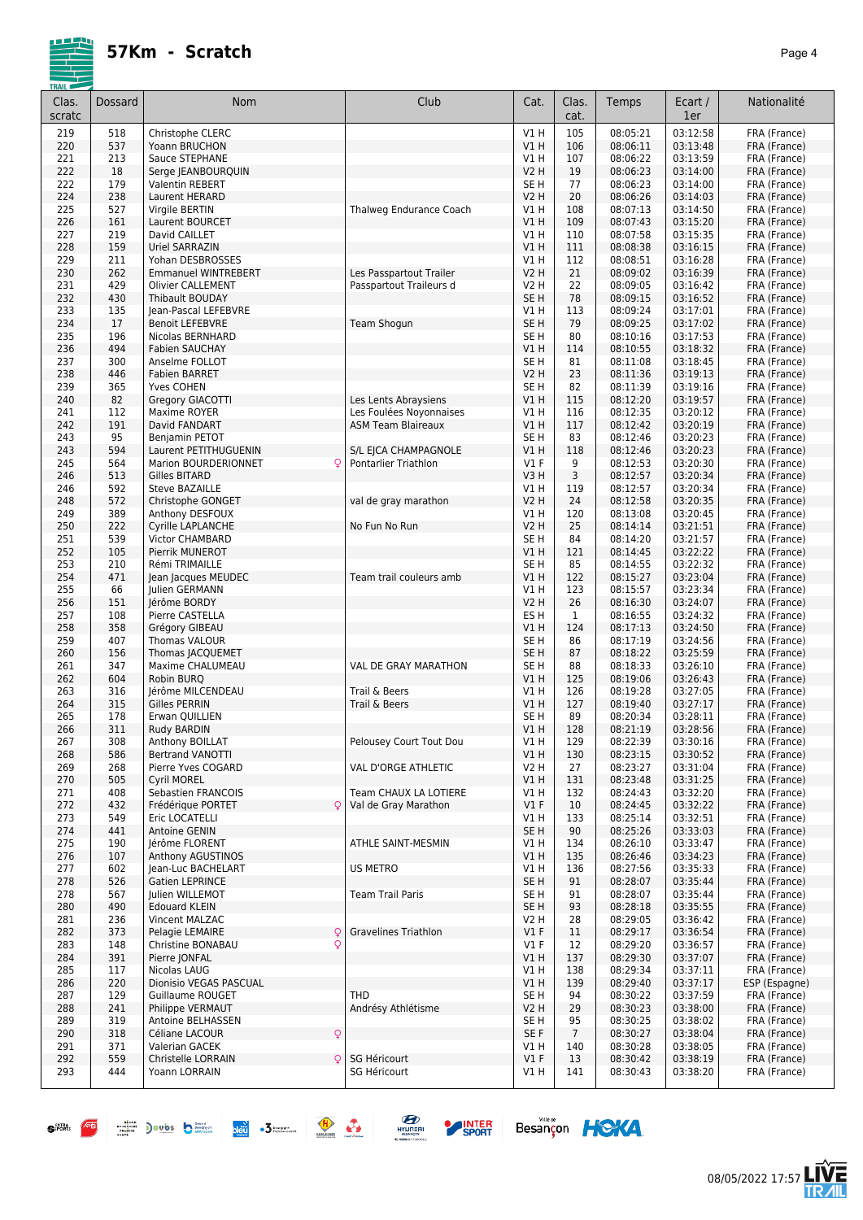| Clas.<br>scratc | Dossard    | Nom                                              | Club                        | Cat.                | Clas.<br>cat.         | Temps                | Ecart /<br>1er       | Nationalité                  |
|-----------------|------------|--------------------------------------------------|-----------------------------|---------------------|-----------------------|----------------------|----------------------|------------------------------|
| 219             | 518        | Christophe CLERC                                 |                             | V1 H                | 105                   | 08:05:21             | 03:12:58             | FRA (France)                 |
| 220             | 537        | Yoann BRUCHON                                    |                             | VIH                 | 106                   | 08:06:11             | 03:13:48             | FRA (France)                 |
| 221             | 213        | Sauce STEPHANE                                   |                             | V1 H                | 107                   | 08:06:22             | 03:13:59             | FRA (France)                 |
| 222             | 18         | Serge JEANBOURQUIN                               |                             | V2 H                | 19                    | 08:06:23             | 03:14:00             | FRA (France)                 |
| 222             | 179        | <b>Valentin REBERT</b>                           |                             | SE H                | 77                    | 08:06:23             | 03:14:00             | FRA (France)                 |
| 224<br>225      | 238<br>527 | Laurent HERARD                                   |                             | <b>V2 H</b>         | 20<br>108             | 08:06:26<br>08:07:13 | 03:14:03<br>03:14:50 | FRA (France)                 |
| 226             | 161        | Virgile BERTIN<br>Laurent BOURCET                | Thalweg Endurance Coach     | V1 H<br>V1H         | 109                   | 08:07:43             | 03:15:20             | FRA (France)<br>FRA (France) |
| 227             | 219        | David CAILLET                                    |                             | V1 H                | 110                   | 08:07:58             | 03:15:35             | FRA (France)                 |
| 228             | 159        | Uriel SARRAZIN                                   |                             | V1H                 | 111                   | 08:08:38             | 03:16:15             | FRA (France)                 |
| 229             | 211        | Yohan DESBROSSES                                 |                             | V1 H                | 112                   | 08:08:51             | 03:16:28             | FRA (France)                 |
| 230             | 262        | <b>Emmanuel WINTREBERT</b>                       | Les Passpartout Trailer     | <b>V2 H</b>         | 21                    | 08:09:02             | 03:16:39             | FRA (France)                 |
| 231             | 429        | <b>Olivier CALLEMENT</b>                         | Passpartout Traileurs d     | V2 H                | 22                    | 08:09:05             | 03:16:42             | FRA (France)                 |
| 232             | 430        | <b>Thibault BOUDAY</b>                           |                             | SE <sub>H</sub>     | 78                    | 08:09:15             | 03:16:52             | FRA (France)                 |
| 233             | 135        | Jean-Pascal LEFEBVRE                             |                             | V1 H                | 113                   | 08:09:24             | 03:17:01             | FRA (France)                 |
| 234             | 17         | <b>Benoit LEFEBVRE</b>                           | <b>Team Shogun</b>          | SE <sub>H</sub>     | 79                    | 08:09:25             | 03:17:02             | FRA (France)                 |
| 235<br>236      | 196<br>494 | Nicolas BERNHARD<br><b>Fabien SAUCHAY</b>        |                             | SE H<br>V1H         | 80<br>114             | 08:10:16<br>08:10:55 | 03:17:53<br>03:18:32 | FRA (France)<br>FRA (France) |
| 237             | 300        | Anselme FOLLOT                                   |                             | SE <sub>H</sub>     | 81                    | 08:11:08             | 03:18:45             | FRA (France)                 |
| 238             | 446        | <b>Fabien BARRET</b>                             |                             | V2 H                | 23                    | 08:11:36             | 03:19:13             | FRA (France)                 |
| 239             | 365        | Yves COHEN                                       |                             | SE H                | 82                    | 08:11:39             | 03:19:16             | FRA (France)                 |
| 240             | 82         | Gregory GIACOTTI                                 | Les Lents Abraysiens        | <b>V1 H</b>         | 115                   | 08:12:20             | 03:19:57             | FRA (France)                 |
| 241             | 112        | Maxime ROYER                                     | Les Foulées Noyonnaises     | V1 H                | 116                   | 08:12:35             | 03:20:12             | FRA (France)                 |
| 242             | 191        | David FANDART                                    | <b>ASM Team Blaireaux</b>   | VIH                 | 117                   | 08:12:42             | 03:20:19             | FRA (France)                 |
| 243             | 95         | Benjamin PETOT                                   |                             | SE H                | 83                    | 08:12:46             | 03:20:23             | FRA (France)                 |
| 243             | 594        | Laurent PETITHUGUENIN                            | S/L EICA CHAMPAGNOLE        | V1 H                | 118                   | 08:12:46             | 03:20:23             | FRA (France)                 |
| 245             | 564        | Ç<br>Marion BOURDERIONNET                        | Pontarlier Triathlon        | $VI$ F              | 9                     | 08:12:53             | 03:20:30             | FRA (France)                 |
| 246             | 513        | Gilles BITARD                                    |                             | V3H                 | 3                     | 08:12:57             | 03:20:34             | FRA (France)                 |
| 246<br>248      | 592<br>572 | <b>Steve BAZAILLE</b>                            | val de gray marathon        | V1 H<br><b>V2 H</b> | 119<br>24             | 08:12:57<br>08:12:58 | 03:20:34<br>03:20:35 | FRA (France)<br>FRA (France) |
| 249             | 389        | Christophe GONGET<br>Anthony DESFOUX             |                             | V1 H                | 120                   | 08:13:08             | 03:20:45             | FRA (France)                 |
| 250             | 222        | Cyrille LAPLANCHE                                | No Fun No Run               | V2 H                | 25                    | 08:14:14             | 03:21:51             | FRA (France)                 |
| 251             | 539        | <b>Victor CHAMBARD</b>                           |                             | SE H                | 84                    | 08:14:20             | 03:21:57             | FRA (France)                 |
| 252             | 105        | Pierrik MUNEROT                                  |                             | V1H                 | 121                   | 08:14:45             | 03:22:22             | FRA (France)                 |
| 253             | 210        | Rémi TRIMAILLE                                   |                             | SE <sub>H</sub>     | 85                    | 08:14:55             | 03:22:32             | FRA (France)                 |
| 254             | 471        | Jean Jacques MEUDEC                              | Team trail couleurs amb     | V1H                 | 122                   | 08:15:27             | 03:23:04             | FRA (France)                 |
| 255             | 66         | Julien GERMANN                                   |                             | V1 H                | 123                   | 08:15:57             | 03:23:34             | FRA (France)                 |
| 256             | 151        | Jérôme BORDY                                     |                             | <b>V2 H</b>         | 26                    | 08:16:30             | 03:24:07             | FRA (France)                 |
| 257             | 108<br>358 | Pierre CASTELLA                                  |                             | ES H                | 1                     | 08:16:55             | 03:24:32             | FRA (France)                 |
| 258<br>259      | 407        | Grégory GIBEAU<br>Thomas VALOUR                  |                             | V1 H<br>SE H        | 124<br>86             | 08:17:13<br>08:17:19 | 03:24:50<br>03:24:56 | FRA (France)<br>FRA (France) |
| 260             | 156        | Thomas JACQUEMET                                 |                             | SE <sub>H</sub>     | 87                    | 08:18:22             | 03:25:59             | FRA (France)                 |
| 261             | 347        | Maxime CHALUMEAU                                 | <b>VAL DE GRAY MARATHON</b> | SE H                | 88                    | 08:18:33             | 03:26:10             | FRA (France)                 |
| 262             | 604        | Robin BURQ                                       |                             | <b>V1 H</b>         | 125                   | 08:19:06             | 03:26:43             | FRA (France)                 |
| 263             | 316        | Jérôme MILCENDEAU                                | Trail & Beers               | V1 H                | 126                   | 08:19:28             | 03:27:05             | FRA (France)                 |
| 264             | 315        | <b>Gilles PERRIN</b>                             | Trail & Beers               | V1 H                | 127                   | 08:19:40             | 03:27:17             | FRA (France)                 |
| 265             | 178        | Erwan QUILLIEN                                   |                             | SE H                | 89                    | 08:20:34             | 03:28:11             | FRA (France)                 |
| 266             | 311        | Rudy BARDIN                                      |                             | <b>V1 H</b>         | 128                   | 08:21:19             | 03:28:56             | FRA (France)                 |
| 267             | 308        | Anthony BOILLAT                                  | Pelousey Court Tout Dou     | V1 H                | 129                   | 08:22:39             | 03:30:16             | FRA (France)                 |
| 268<br>269      | 586<br>268 | <b>Bertrand VANOTTI</b><br>Pierre Yves COGARD    | VAL D'ORGE ATHLETIC         | V1 H<br>V2 H        | 130<br>27             | 08:23:15             | 03:30:52<br>03:31:04 | FRA (France)<br>FRA (France) |
| 270             | 505        | Cyril MOREL                                      |                             | V1 H                | 131                   | 08:23:27<br>08:23:48 | 03:31:25             | FRA (France)                 |
| 271             | 408        | Sebastien FRANCOIS                               | Team CHAUX LA LOTIERE       | V1 H                | 132                   | 08:24:43             | 03:32:20             | FRA (France)                 |
| 272             | 432        | Q<br>Frédérique PORTET                           | Val de Gray Marathon        | V1F                 | 10                    | 08:24:45             | 03:32:22             | FRA (France)                 |
| 273             | 549        | Eric LOCATELLI                                   |                             | V1 H                | 133                   | 08:25:14             | 03:32:51             | FRA (France)                 |
| 274             | 441        | Antoine GENIN                                    |                             | SE H                | 90                    | 08:25:26             | 03:33:03             | FRA (France)                 |
| 275             | 190        | Jérôme FLORENT                                   | ATHLE SAINT-MESMIN          | V1 H                | 134                   | 08:26:10             | 03:33:47             | FRA (France)                 |
| 276             | 107        | Anthony AGUSTINOS                                |                             | V1H                 | 135                   | 08:26:46             | 03:34:23             | FRA (France)                 |
| 277             | 602        | Jean-Luc BACHELART                               | <b>US METRO</b>             | V1 H                | 136                   | 08:27:56             | 03:35:33             | FRA (France)                 |
| 278             | 526        | Gatien LEPRINCE                                  |                             | SE <sub>H</sub>     | 91                    | 08:28:07             | 03:35:44             | FRA (France)                 |
| 278             | 567        | Julien WILLEMOT<br><b>Edouard KLEIN</b>          | <b>Team Trail Paris</b>     | SE H                | 91                    | 08:28:07             | 03:35:44             | FRA (France)                 |
| 280<br>281      | 490<br>236 | Vincent MALZAC                                   |                             | SE H<br>V2 H        | 93<br>28              | 08:28:18<br>08:29:05 | 03:35:55<br>03:36:42 | FRA (France)<br>FRA (France) |
| 282             | 373        | Q<br>Pelagie LEMAIRE                             | <b>Gravelines Triathlon</b> | $VI$ F              | 11                    | 08:29:17             | 03:36:54             | FRA (France)                 |
| 283             | 148        | Q<br>Christine BONABAU                           |                             | $VI$ F              | 12                    | 08:29:20             | 03:36:57             | FRA (France)                 |
| 284             | 391        | Pierre JONFAL                                    |                             | V1 H                | 137                   | 08:29:30             | 03:37:07             | FRA (France)                 |
| 285             | 117        | Nicolas LAUG                                     |                             | VIH                 | 138                   | 08:29:34             | 03:37:11             | FRA (France)                 |
| 286             | 220        | Dionisio VEGAS PASCUAL                           |                             | V1 H                | 139                   | 08:29:40             | 03:37:17             | ESP (Espagne)                |
| 287             | 129        | Guillaume ROUGET                                 | <b>THD</b>                  | SE H                | 94                    | 08:30:22             | 03:37:59             | FRA (France)                 |
| 288             | 241        | Philippe VERMAUT                                 | Andrésy Athlétisme          | V2 H                | 29                    | 08:30:23             | 03:38:00             | FRA (France)                 |
| 289             | 319        | Antoine BELHASSEN                                |                             | SE H                | 95                    | 08:30:25             | 03:38:02             | FRA (France)                 |
| 290             | 318        | $\mathsf{Q}$<br>Céliane LACOUR<br>Valerian GACEK |                             | SE F<br>V1 H        | $\overline{7}$<br>140 | 08:30:27             | 03:38:04<br>03:38:05 | FRA (France)                 |
| 291<br>292      | 371<br>559 | Christelle LORRAIN<br>Q                          | SG Héricourt                | V1F                 | 13                    | 08:30:28<br>08:30:42 | 03:38:19             | FRA (France)<br>FRA (France) |
| 293             | 444        | Yoann LORRAIN                                    | SG Héricourt                | V1 H                | 141                   | 08:30:43             | 03:38:20             | FRA (France)                 |
|                 |            |                                                  |                             |                     |                       |                      |                      |                              |











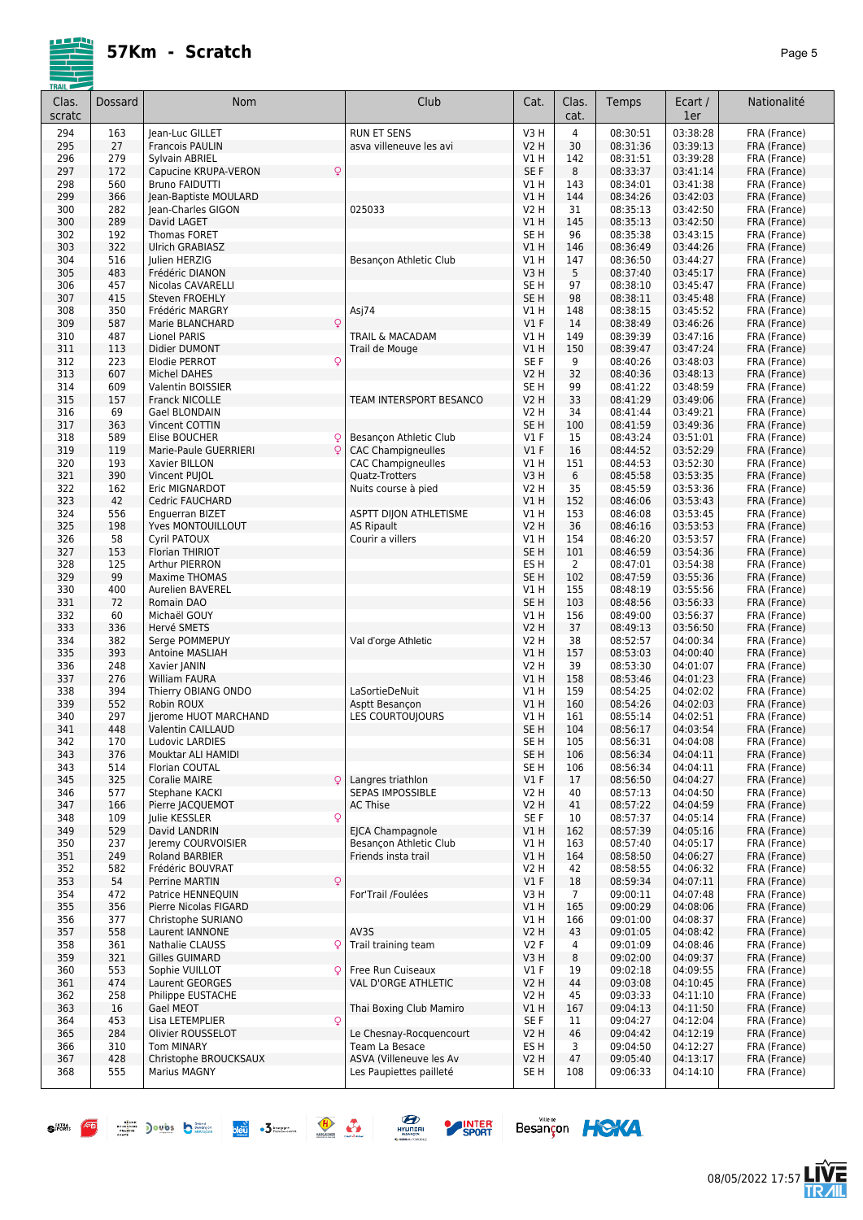

| <u>I KAIL</u><br>Clas.<br>scratc | Dossard    | Nom                                  | Club                                               | Cat.                   | Clas.<br>cat.  | Temps                | Ecart /<br>1er       | Nationalité                  |
|----------------------------------|------------|--------------------------------------|----------------------------------------------------|------------------------|----------------|----------------------|----------------------|------------------------------|
| 294                              | 163        | lean-Luc GILLET                      | <b>RUN ET SENS</b>                                 | V3H                    | 4              | 08:30:51             | 03:38:28             | FRA (France)                 |
| 295                              | 27         | <b>Francois PAULIN</b>               | asva villeneuve les avi                            | V2 H                   | 30             | 08:31:36             | 03:39:13             | FRA (France)                 |
| 296                              | 279        | Sylvain ABRIEL                       |                                                    | V1H                    | 142            | 08:31:51             | 03:39:28             | FRA (France)                 |
| 297                              | 172        | Q<br>Capucine KRUPA-VERON            |                                                    | SE F                   | 8              | 08:33:37             | 03:41:14             | FRA (France)                 |
| 298                              | 560        | <b>Bruno FAIDUTTI</b>                |                                                    | V1 H                   | 143            | 08:34:01             | 03:41:38             | FRA (France)                 |
| 299                              | 366        | Jean-Baptiste MOULARD                |                                                    | V1 H                   | 144            | 08:34:26             | 03:42:03             | FRA (France)                 |
| 300<br>300                       | 282<br>289 | Jean-Charles GIGON<br>David LAGET    | 025033                                             | V2 H<br>V1H            | 31<br>145      | 08:35:13<br>08:35:13 | 03:42:50<br>03:42:50 | FRA (France)<br>FRA (France) |
| 302                              | 192        | <b>Thomas FORET</b>                  |                                                    | SE <sub>H</sub>        | 96             | 08:35:38             | 03:43:15             | FRA (France)                 |
| 303                              | 322        | <b>Ulrich GRABIASZ</b>               |                                                    | V1H                    | 146            | 08:36:49             | 03:44:26             | FRA (France)                 |
| 304                              | 516        | Julien HERZIG                        | Besançon Athletic Club                             | <b>V1 H</b>            | 147            | 08:36:50             | 03:44:27             | FRA (France)                 |
| 305                              | 483        | Frédéric DIANON                      |                                                    | V3H                    | 5              | 08:37:40             | 03:45:17             | FRA (France)                 |
| 306                              | 457        | Nicolas CAVARELLI                    |                                                    | SE <sub>H</sub>        | 97             | 08:38:10             | 03:45:47             | FRA (France)                 |
| 307                              | 415        | Steven FROEHLY                       |                                                    | SE H                   | 98             | 08:38:11             | 03:45:48             | FRA (France)                 |
| 308                              | 350        | Frédéric MARGRY                      | Asj74                                              | V1 H                   | 148            | 08:38:15             | 03:45:52             | FRA (France)                 |
| 309                              | 587        | $\mathsf{Q}$<br>Marie BLANCHARD      |                                                    | $VI$ F                 | 14             | 08:38:49             | 03:46:26             | FRA (France)                 |
| 310                              | 487        | <b>Lionel PARIS</b>                  | TRAIL & MACADAM                                    | V1H                    | 149            | 08:39:39             | 03:47:16             | FRA (France)                 |
| 311                              | 113<br>223 | Didier DUMONT<br>Q                   | Trail de Mouge                                     | VIH<br>SE <sub>F</sub> | 150<br>9       | 08:39:47<br>08:40:26 | 03:47:24<br>03:48:03 | FRA (France)                 |
| 312<br>313                       | 607        | <b>Elodie PERROT</b><br>Michel DAHES |                                                    | <b>V2 H</b>            | 32             | 08:40:36             | 03:48:13             | FRA (France)<br>FRA (France) |
| 314                              | 609        | <b>Valentin BOISSIER</b>             |                                                    | SE <sub>H</sub>        | 99             | 08:41:22             | 03:48:59             | FRA (France)                 |
| 315                              | 157        | Franck NICOLLE                       | TEAM INTERSPORT BESANCO                            | <b>V2 H</b>            | 33             | 08:41:29             | 03:49:06             | FRA (France)                 |
| 316                              | 69         | Gael BLONDAIN                        |                                                    | V2 H                   | 34             | 08:41:44             | 03:49:21             | FRA (France)                 |
| 317                              | 363        | Vincent COTTIN                       |                                                    | SE <sub>H</sub>        | 100            | 08:41:59             | 03:49:36             | FRA (France)                 |
| 318                              | 589        | Elise BOUCHER<br>ç                   | Besançon Athletic Club                             | $VI$ F                 | 15             | 08:43:24             | 03:51:01             | FRA (France)                 |
| 319                              | 119        | Marie-Paule GUERRIERI<br>Q           | <b>CAC Champigneulles</b>                          | $VI$ F                 | 16             | 08:44:52             | 03:52:29             | FRA (France)                 |
| 320                              | 193        | Xavier BILLON                        | <b>CAC Champigneulles</b>                          | V1 H                   | 151            | 08:44:53             | 03:52:30             | FRA (France)                 |
| 321                              | 390        | Vincent PUJOL                        | Quatz-Trotters                                     | V3H                    | 6              | 08:45:58             | 03:53:35             | FRA (France)                 |
| 322                              | 162        | Eric MIGNARDOT                       | Nuits course à pied                                | V2 H                   | 35             | 08:45:59             | 03:53:36             | FRA (France)                 |
| 323                              | 42         | Cedric FAUCHARD                      |                                                    | VIH                    | 152            | 08:46:06             | 03:53:43             | FRA (France)                 |
| 324<br>325                       | 556<br>198 | Enguerran BIZET<br>Yves MONTOUILLOUT | <b>ASPTT DIJON ATHLETISME</b><br><b>AS Ripault</b> | V1 H<br><b>V2 H</b>    | 153<br>36      | 08:46:08<br>08:46:16 | 03:53:45<br>03:53:53 | FRA (France)<br>FRA (France) |
| 326                              | 58         | Cyril PATOUX                         | Courir a villers                                   | V1H                    | 154            | 08:46:20             | 03:53:57             | FRA (France)                 |
| 327                              | 153        | Florian THIRIOT                      |                                                    | SE <sub>H</sub>        | 101            | 08:46:59             | 03:54:36             | FRA (France)                 |
| 328                              | 125        | Arthur PIERRON                       |                                                    | ES <sub>H</sub>        | $\overline{2}$ | 08:47:01             | 03:54:38             | FRA (France)                 |
| 329                              | 99         | Maxime THOMAS                        |                                                    | SE <sub>H</sub>        | 102            | 08:47:59             | 03:55:36             | FRA (France)                 |
| 330                              | 400        | <b>Aurelien BAVEREL</b>              |                                                    | V1 H                   | 155            | 08:48:19             | 03:55:56             | FRA (France)                 |
| 331                              | 72         | Romain DAO                           |                                                    | SE <sub>H</sub>        | 103            | 08:48:56             | 03:56:33             | FRA (France)                 |
| 332                              | 60         | Michaël GOUY                         |                                                    | V1H                    | 156            | 08:49:00             | 03:56:37             | FRA (France)                 |
| 333                              | 336        | Hervé SMETS                          |                                                    | V2 H                   | 37             | 08:49:13             | 03:56:50             | FRA (France)                 |
| 334                              | 382        | Serge POMMEPUY                       | Val d'orge Athletic                                | V2 H                   | 38             | 08:52:57             | 04:00:34             | FRA (France)                 |
| 335                              | 393        | Antoine MASLIAH                      |                                                    | VIH                    | 157            | 08:53:03             | 04:00:40             | FRA (France)                 |
| 336<br>337                       | 248<br>276 | Xavier JANIN<br><b>William FAURA</b> |                                                    | <b>V2 H</b><br>VIH     | 39<br>158      | 08:53:30<br>08:53:46 | 04:01:07<br>04:01:23 | FRA (France)<br>FRA (France) |
| 338                              | 394        | Thierry OBIANG ONDO                  | LaSortieDeNuit                                     | V1H                    | 159            | 08:54:25             | 04:02:02             | FRA (France)                 |
| 339                              | 552        | Robin ROUX                           | Asptt Besançon                                     | V1 H                   | 160            | 08:54:26             | 04:02:03             | FRA (France)                 |
| 340                              | 297        | Jierome HUOT MARCHAND                | LES COURTOUJOURS                                   | V1 H                   | 161            | 08:55:14             | 04:02:51             | FRA (France)                 |
| 341                              | 448        | Valentin CAILLAUD                    |                                                    | SE <sub>H</sub>        | 104            | 08:56:17             | 04:03:54             | FRA (France)                 |
| 342                              | 170        | Ludovic LARDIES                      |                                                    | SE <sub>H</sub>        | 105            | 08:56:31             | 04:04:08             | FRA (France)                 |
| 343                              | 376        | Mouktar ALI HAMIDI                   |                                                    | SE <sub>H</sub>        | 106            | 08:56:34             | 04:04:11             | FRA (France)                 |
| 343                              | 514        | Florian COUTAL                       |                                                    | SE H                   | 106            | 08:56:34             | 04:04:11             | FRA (France)                 |
| 345                              | 325        | Coralie MAIRE<br>Q                   | Langres triathlon                                  | $VI$ F                 | 17             | 08:56:50             | 04:04:27             | FRA (France)                 |
| 346                              | 577        | Stephane KACKI                       | SEPAS IMPOSSIBLE                                   | V2 H                   | 40             | 08:57:13             | 04:04:50             | FRA (France)                 |
| 347                              | 166        | Pierre JACQUEMOT                     | <b>AC Thise</b>                                    | V2 H                   | 41             | 08:57:22             | 04:04:59             | FRA (France)                 |
| 348                              | 109<br>529 | Julie KESSLER<br>Q                   | EJCA Champagnole                                   | SE F                   | 10             | 08:57:37<br>08:57:39 | 04:05:14<br>04:05:16 | FRA (France)                 |
| 349<br>350                       | 237        | David LANDRIN<br>Jeremy COURVOISIER  | Besancon Athletic Club                             | V1 H<br>V1 H           | 162<br>163     | 08:57:40             | 04:05:17             | FRA (France)<br>FRA (France) |
| 351                              | 249        | <b>Roland BARBIER</b>                | Friends insta trail                                | V1 H                   | 164            | 08:58:50             | 04:06:27             | FRA (France)                 |
| 352                              | 582        | Frédéric BOUVRAT                     |                                                    | V2 H                   | 42             | 08:58:55             | 04:06:32             | FRA (France)                 |
| 353                              | 54         | <b>Perrine MARTIN</b><br>Q           |                                                    | $VI$ F                 | 18             | 08:59:34             | 04:07:11             | FRA (France)                 |
| 354                              | 472        | Patrice HENNEQUIN                    | For'Trail /Foulées                                 | V3 H                   | 7              | 09:00:11             | 04:07:48             | FRA (France)                 |
| 355                              | 356        | Pierre Nicolas FIGARD                |                                                    | V1 H                   | 165            | 09:00:29             | 04:08:06             | FRA (France)                 |
| 356                              | 377        | Christophe SURIANO                   |                                                    | V1H                    | 166            | 09:01:00             | 04:08:37             | FRA (France)                 |
| 357                              | 558        | Laurent IANNONE                      | AV3S                                               | V2 H                   | 43             | 09:01:05             | 04:08:42             | FRA (France)                 |
| 358                              | 361        | Nathalie CLAUSS<br>Q                 | Trail training team                                | V2F                    | 4              | 09:01:09             | 04:08:46             | FRA (France)                 |
| 359                              | 321        | Gilles GUIMARD                       |                                                    | V3 H                   | 8              | 09:02:00             | 04:09:37             | FRA (France)                 |
| 360                              | 553        | Sophie VUILLOT<br>Q                  | Free Run Cuiseaux                                  | $VI$ F                 | 19             | 09:02:18             | 04:09:55             | FRA (France)                 |
| 361                              | 474<br>258 | Laurent GEORGES                      | VAL D'ORGE ATHLETIC                                | V2 H<br>V2 H           | 44<br>45       | 09:03:08<br>09:03:33 | 04:10:45<br>04:11:10 | FRA (France)                 |
| 362<br>363                       | 16         | Philippe EUSTACHE<br>Gael MEOT       | Thai Boxing Club Mamiro                            | V1H                    | 167            | 09:04:13             | 04:11:50             | FRA (France)<br>FRA (France) |
| 364                              | 453        | Q<br>Lisa LETEMPLIER                 |                                                    | SE F                   | 11             | 09:04:27             | 04:12:04             | FRA (France)                 |
| 365                              | 284        | Olivier ROUSSELOT                    | Le Chesnay-Rocquencourt                            | V2 H                   | 46             | 09:04:42             | 04:12:19             | FRA (France)                 |
| 366                              | 310        | <b>Tom MINARY</b>                    | Team La Besace                                     | ES H                   | 3              | 09:04:50             | 04:12:27             | FRA (France)                 |
| 367                              | 428        | Christophe BROUCKSAUX                | ASVA (Villeneuve les Av                            | V <sub>2</sub> H       | 47             | 09:05:40             | 04:13:17             | FRA (France)                 |
| 368                              | 555        | Marius MAGNY                         | Les Paupiettes pailleté                            | SE H                   | 108            | 09:06:33             | 04:14:10             | FRA (France)                 |
|                                  |            |                                      |                                                    |                        |                |                      |                      |                              |











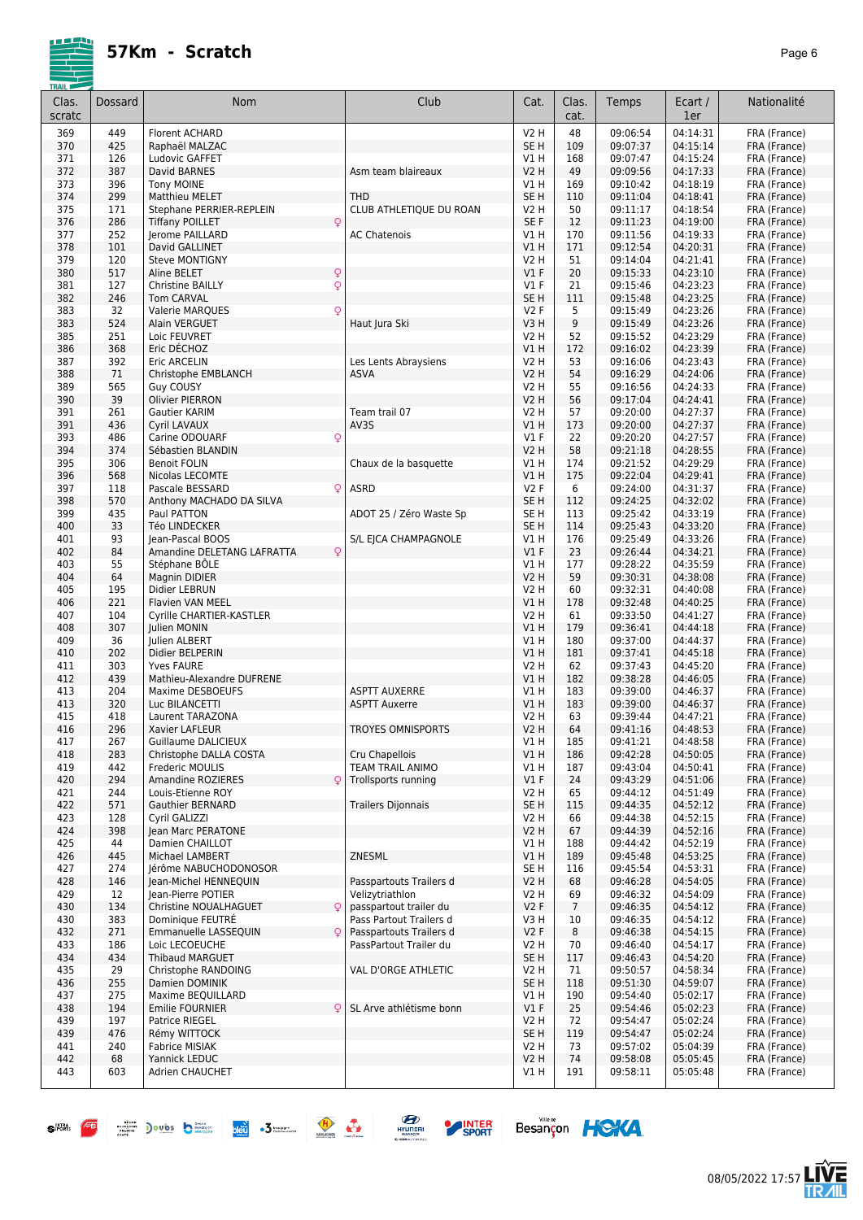| Clas.<br>scratc | Dossard    | <b>Nom</b>                                              | Club                                      | Cat.                    | Clas.<br>cat.  | Temps                | Ecart /<br>1er       | Nationalité                  |
|-----------------|------------|---------------------------------------------------------|-------------------------------------------|-------------------------|----------------|----------------------|----------------------|------------------------------|
| 369             | 449        | <b>Florent ACHARD</b>                                   |                                           | <b>V2 H</b>             | 48             | 09:06:54             | 04:14:31             | FRA (France)                 |
| 370             | 425        | Raphaël MALZAC                                          |                                           | SE <sub>H</sub>         | 109            | 09:07:37             | 04:15:14             | FRA (France)                 |
| 371             | 126        | Ludovic GAFFET                                          |                                           | V1H                     | 168            | 09:07:47             | 04:15:24             | FRA (France)                 |
| 372             | 387        | David BARNES                                            | Asm team blaireaux                        | <b>V2 H</b>             | 49             | 09:09:56             | 04:17:33             | FRA (France)                 |
| 373             | 396        | <b>Tony MOINE</b>                                       |                                           | V1 H                    | 169            | 09:10:42             | 04:18:19             | FRA (France)                 |
| 374             | 299<br>171 | <b>Matthieu MELET</b>                                   | <b>THD</b>                                | SE <sub>H</sub><br>V2 H | 110<br>50      | 09:11:04<br>09:11:17 | 04:18:41<br>04:18:54 | FRA (France)                 |
| 375<br>376      | 286        | Stephane PERRIER-REPLEIN<br><b>Tiffany POILLET</b><br>Q | CLUB ATHLETIQUE DU ROAN                   | SE F                    | 12             | 09:11:23             | 04:19:00             | FRA (France)<br>FRA (France) |
| 377             | 252        | Jerome PAILLARD                                         | <b>AC Chatenois</b>                       | V1 H                    | 170            | 09:11:56             | 04:19:33             | FRA (France)                 |
| 378             | 101        | David GALLINET                                          |                                           | VIH                     | 171            | 09:12:54             | 04:20:31             | FRA (France)                 |
| 379             | 120        | <b>Steve MONTIGNY</b>                                   |                                           | V2 H                    | 51             | 09:14:04             | 04:21:41             | FRA (France)                 |
| 380             | 517        | $\mathsf{Q}$<br>Aline BELET                             |                                           | $VI$ F                  | 20             | 09:15:33             | 04:23:10             | FRA (France)                 |
| 381             | 127        | $\mathsf{Q}$<br><b>Christine BAILLY</b>                 |                                           | $VI$ F                  | 21             | 09:15:46             | 04:23:23             | FRA (France)                 |
| 382             | 246        | <b>Tom CARVAL</b>                                       |                                           | SE <sub>H</sub>         | 111            | 09:15:48             | 04:23:25             | FRA (France)                 |
| 383             | 32         | Q<br>Valerie MARQUES                                    |                                           | V2F                     | 5              | 09:15:49             | 04:23:26             | FRA (France)                 |
| 383<br>385      | 524<br>251 | Alain VERGUET<br>Loic FEUVRET                           | Haut Jura Ski                             | V3H<br><b>V2 H</b>      | 9<br>52        | 09:15:49<br>09:15:52 | 04:23:26<br>04:23:29 | FRA (France)<br>FRA (France) |
| 386             | 368        | Eric DÉCHOZ                                             |                                           | V1H                     | 172            | 09:16:02             | 04:23:39             | FRA (France)                 |
| 387             | 392        | Eric ARCELIN                                            | Les Lents Abraysiens                      | <b>V2 H</b>             | 53             | 09:16:06             | 04:23:43             | FRA (France)                 |
| 388             | 71         | Christophe EMBLANCH                                     | <b>ASVA</b>                               | <b>V2 H</b>             | 54             | 09:16:29             | 04:24:06             | FRA (France)                 |
| 389             | 565        | <b>Guy COUSY</b>                                        |                                           | V2 H                    | 55             | 09:16:56             | 04:24:33             | FRA (France)                 |
| 390             | 39         | <b>Olivier PIERRON</b>                                  |                                           | <b>V2 H</b>             | 56             | 09:17:04             | 04:24:41             | FRA (France)                 |
| 391             | 261        | <b>Gautier KARIM</b>                                    | Team trail 07                             | V2 H                    | 57             | 09:20:00             | 04:27:37             | FRA (France)                 |
| 391<br>393      | 436<br>486 | <b>Cyril LAVAUX</b><br>Carine ODOUARF                   | AV3S                                      | V1 H<br>$VI$ F          | 173<br>22      | 09:20:00             | 04:27:37             | FRA (France)                 |
| 394             | 374        | $\mathsf{Q}$<br>Sébastien BLANDIN                       |                                           | <b>V2 H</b>             | 58             | 09:20:20<br>09:21:18 | 04:27:57<br>04:28:55 | FRA (France)<br>FRA (France) |
| 395             | 306        | <b>Benoit FOLIN</b>                                     | Chaux de la basquette                     | V1 H                    | 174            | 09:21:52             | 04:29:29             | FRA (France)                 |
| 396             | 568        | Nicolas LECOMTE                                         |                                           | V1H                     | 175            | 09:22:04             | 04:29:41             | FRA (France)                 |
| 397             | 118        | Pascale BESSARD<br>Q                                    | <b>ASRD</b>                               | V2F                     | 6              | 09:24:00             | 04:31:37             | FRA (France)                 |
| 398             | 570        | Anthony MACHADO DA SILVA                                |                                           | SE <sub>H</sub>         | 112            | 09:24:25             | 04:32:02             | FRA (France)                 |
| 399             | 435        | Paul PATTON                                             | ADOT 25 / Zéro Waste Sp                   | SE <sub>H</sub>         | 113            | 09:25:42             | 04:33:19             | FRA (France)                 |
| 400             | 33         | Téo LINDECKER                                           |                                           | SE <sub>H</sub>         | 114            | 09:25:43             | 04:33:20             | FRA (France)                 |
| 401             | 93         | Jean-Pascal BOOS                                        | S/L EJCA CHAMPAGNOLE                      | V1H                     | 176            | 09:25:49             | 04:33:26             | FRA (France)                 |
| 402<br>403      | 84<br>55   | Amandine DELETANG LAFRATTA<br>Q<br>Stéphane BÖLE        |                                           | $VI$ F<br>V1 H          | 23<br>177      | 09:26:44<br>09:28:22 | 04:34:21<br>04:35:59 | FRA (France)<br>FRA (France) |
| 404             | 64         | Magnin DIDIER                                           |                                           | V2 H                    | 59             | 09:30:31             | 04:38:08             | FRA (France)                 |
| 405             | 195        | Didier LEBRUN                                           |                                           | V2 H                    | 60             | 09:32:31             | 04:40:08             | FRA (France)                 |
| 406             | 221        | Flavien VAN MEEL                                        |                                           | V1H                     | 178            | 09:32:48             | 04:40:25             | FRA (France)                 |
| 407             | 104        | Cyrille CHARTIER-KASTLER                                |                                           | <b>V2 H</b>             | 61             | 09:33:50             | 04:41:27             | FRA (France)                 |
| 408             | 307        | Julien MONIN                                            |                                           | V1H                     | 179            | 09:36:41             | 04:44:18             | FRA (France)                 |
| 409             | 36         | Julien ALBERT                                           |                                           | V1 H                    | 180            | 09:37:00             | 04:44:37             | FRA (France)                 |
| 410             | 202<br>303 | Didier BELPERIN<br><b>Yves FAURE</b>                    |                                           | V1H<br><b>V2 H</b>      | 181<br>62      | 09:37:41<br>09:37:43 | 04:45:18<br>04:45:20 | FRA (France)<br>FRA (France) |
| 411<br>412      | 439        | Mathieu-Alexandre DUFRENE                               |                                           | V1 H                    | 182            | 09:38:28             | 04:46:05             | FRA (France)                 |
| 413             | 204        | Maxime DESBOEUFS                                        | <b>ASPTT AUXERRE</b>                      | V1 H                    | 183            | 09:39:00             | 04:46:37             | FRA (France)                 |
| 413             | 320        | Luc BILANCETTI                                          | <b>ASPTT Auxerre</b>                      | V1 H                    | 183            | 09:39:00             | 04:46:37             | FRA (France)                 |
| 415             | 418        | Laurent TARAZONA                                        |                                           | V2 H                    | 63             | 09:39:44             | 04:47:21             | FRA (France)                 |
| 416             | 296        | Xavier LAFLEUR                                          | <b>TROYES OMNISPORTS</b>                  | V2 H                    | 64             | 09:41:16             | 04:48:53             | FRA (France)                 |
| 417             | 267        | Guillaume DALICIEUX                                     |                                           | V1 H                    | 185            | 09:41:21             | 04:48:58             | FRA (France)                 |
| 418<br>419      | 283<br>442 | Christophe DALLA COSTA<br>Frederic MOULIS               | Cru Chapellois<br><b>TEAM TRAIL ANIMO</b> | V1 H<br>V1 H            | 186<br>187     | 09:42:28             | 04:50:05<br>04:50:41 | FRA (France)                 |
| 420             | 294        | <b>Amandine ROZIERES</b><br>$\mathsf{Q}$                | Trollsports running                       | $VI$ F                  | 24             | 09:43:04<br>09:43:29 | 04:51:06             | FRA (France)<br>FRA (France) |
| 421             | 244        | Louis-Etienne ROY                                       |                                           | V2 H                    | 65             | 09:44:12             | 04:51:49             | FRA (France)                 |
| 422             | 571        | <b>Gauthier BERNARD</b>                                 | <b>Trailers Dijonnais</b>                 | SE <sub>H</sub>         | 115            | 09:44:35             | 04:52:12             | FRA (France)                 |
| 423             | 128        | Cyril GALIZZI                                           |                                           | V2 H                    | 66             | 09:44:38             | 04:52:15             | FRA (France)                 |
| 424             | 398        | Jean Marc PERATONE                                      |                                           | <b>V2 H</b>             | 67             | 09:44:39             | 04:52:16             | FRA (France)                 |
| 425             | 44         | Damien CHAILLOT                                         |                                           | V1 H                    | 188            | 09:44:42             | 04:52:19             | FRA (France)                 |
| 426             | 445<br>274 | Michael LAMBERT                                         | ZNESML                                    | V1H                     | 189<br>116     | 09:45:48             | 04:53:25             | FRA (France)                 |
| 427<br>428      | 146        | Jérôme NABUCHODONOSOR<br>Jean-Michel HENNEQUIN          | Passpartouts Trailers d                   | SE H<br>V2 H            | 68             | 09:45:54<br>09:46:28 | 04:53:31<br>04:54:05 | FRA (France)<br>FRA (France) |
| 429             | 12         | Jean-Pierre POTIER                                      | Velizytriathlon                           | V2 H                    | 69             | 09:46:32             | 04:54:09             | FRA (France)                 |
| 430             | 134        | Q<br>Christine NOUALHAGUET                              | passpartout trailer du                    | V2F                     | $\overline{7}$ | 09:46:35             | 04:54:12             | FRA (France)                 |
| 430             | 383        | Dominique FEUTRE                                        | Pass Partout Trailers d                   | V3H                     | 10             | 09:46:35             | 04:54:12             | FRA (France)                 |
| 432             | 271        | Emmanuelle LASSEQUIN<br>Q                               | Passpartouts Trailers d                   | V2F                     | 8              | 09:46:38             | 04:54:15             | FRA (France)                 |
| 433             | 186        | Loic LECOEUCHE                                          | PassPartout Trailer du                    | V2 H                    | 70             | 09:46:40             | 04:54:17             | FRA (France)                 |
| 434             | 434        | <b>Thibaud MARGUET</b>                                  |                                           | SE <sub>H</sub>         | 117            | 09:46:43             | 04:54:20             | FRA (France)                 |
| 435             | 29         | Christophe RANDOING                                     | VAL D'ORGE ATHLETIC                       | V2 H                    | 71             | 09:50:57             | 04:58:34             | FRA (France)                 |
| 436<br>437      | 255<br>275 | Damien DOMINIK<br>Maxime BEQUILLARD                     |                                           | SE <sub>H</sub><br>V1 H | 118<br>190     | 09:51:30<br>09:54:40 | 04:59:07<br>05:02:17 | FRA (France)<br>FRA (France) |
| 438             | 194        | Emilie FOURNIER<br>Q                                    | SL Arve athlétisme bonn                   | $VI$ F                  | 25             | 09:54:46             | 05:02:23             | FRA (France)                 |
| 439             | 197        | Patrice RIEGEL                                          |                                           | V2 H                    | 72             | 09:54:47             | 05:02:24             | FRA (France)                 |
| 439             | 476        | Rémy WITTOCK                                            |                                           | SE <sub>H</sub>         | 119            | 09:54:47             | 05:02:24             | FRA (France)                 |
| 441             | 240        | Fabrice MISIAK                                          |                                           | V <sub>2</sub> H        | 73             | 09:57:02             | 05:04:39             | FRA (France)                 |
| 442             | 68         | Yannick LEDUC                                           |                                           | <b>V2 H</b>             | 74             | 09:58:08             | 05:05:45             | FRA (France)                 |
| 443             | 603        | Adrien CHAUCHET                                         |                                           | V1 H                    | 191            | 09:58:11             | 05:05:48             | FRA (France)                 |



 $\bullet$   $\overline{B}$   $\overline{B}$   $\overline{B}$   $\overline{B}$   $\overline{B}$   $\overline{B}$   $\overline{B}$   $\overline{B}$   $\overline{B}$   $\overline{B}$   $\overline{B}$   $\overline{B}$   $\overline{B}$   $\overline{B}$   $\overline{B}$   $\overline{B}$   $\overline{B}$   $\overline{B}$   $\overline{B}$   $\overline{B}$   $\overline{B}$   $\overline{B}$   $\overline{B}$   $\overline{B}$